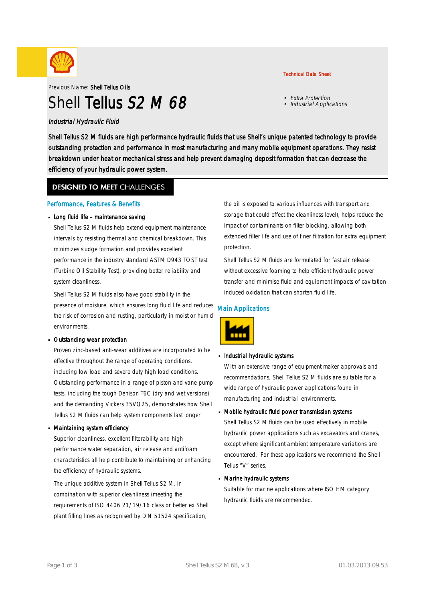

Previous Name: Shell Tellus Oils

# Shell Tellus S<sub>2</sub> M 68

#### Industrial Hydraulic Fluid

Shell Tellus S2 M fluids are high performance hydraulic fluids that use Shell's unique patented technology to provide outstanding protection and performance in most manufacturing and many mobile equipment operations. They resist breakdown under heat or mechanical stress and help prevent damaging deposit formation that can decrease the efficiency of your hydraulic power system.

#### **DESIGNED TO MEET CHALLENGES**

#### Performance, Features & Benefits

#### Long fluid life – maintenance saving

Shell Tellus S2 M fluids help extend equipment maintenance intervals by resisting thermal and chemical breakdown. This minimizes sludge formation and provides excellent performance in the industry standard ASTM D943 TOST test (Turbine Oil Stability Test), providing better reliability and system cleanliness.

Shell Tellus S2 M fluids also have good stability in the presence of moisture, which ensures long fluid life and reduces the risk of corrosion and rusting, particularly in moist or humid environments.

#### Outstanding wear protection ·

Proven zinc-based anti-wear additives are incorporated to be effective throughout the range of operating conditions, including low load and severe duty high load conditions. Outstanding performance in a range of piston and vane pump tests, including the tough Denison T6C (dry and wet versions) and the demanding Vickers 35VQ25, demonstrates how Shell Tellus S2 M fluids can help system components last longer

#### Maintaining system efficiency ·

Superior cleanliness, excellent filterability and high performance water separation, air release and antifoam characteristics all help contribute to maintaining or enhancing the efficiency of hydraulic systems.

The unique additive system in Shell Tellus S2 M, in combination with superior cleanliness (meeting the requirements of ISO 4406 21/19/16 class or better ex Shell plant filling lines as recognised by DIN 51524 specification,

### the oil is exposed to various influences with transport and storage that could effect the cleanliness level), helps reduce the impact of contaminants on filter blocking, allowing both extended filter life and use of finer filtration for extra equipment protection.

Shell Tellus S2 M fluids are formulated for fast air release without excessive foaming to help efficient hydraulic power transfer and minimise fluid and equipment impacts of cavitation induced oxidation that can shorten fluid life.

#### Main Applications



## **Industrial hydraulic systems**

With an extensive range of equipment maker approvals and recommendations, Shell Tellus S2 M fluids are suitable for a wide range of hydraulic power applications found in manufacturing and industrial environments.

## Mobile hydraulic fluid power transmission systems ·

Shell Tellus S2 M fluids can be used effectively in mobile hydraulic power applications such as excavators and cranes, except where significant ambient temperature variations are encountered. For these applications we recommend the Shell Tellus "V" series.

## Marine hydraulic systems ·

Suitable for marine applications where ISO HM category hydraulic fluids are recommended.

• Extra Protection • Industrial Applications

Technical Data Sheet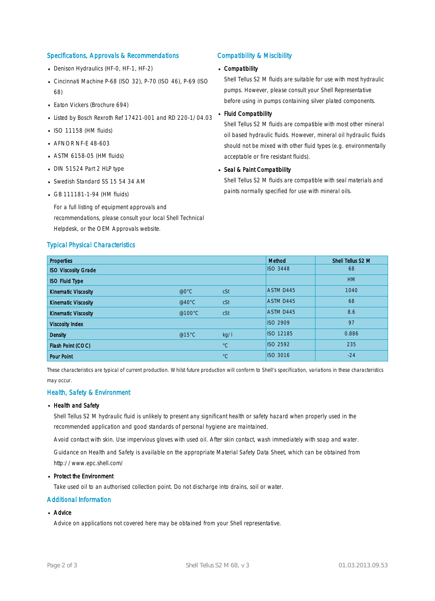#### Specifications, Approvals & Recommendations

- Denison Hydraulics (HF-0, HF-1, HF-2)
- Cincinnati Machine P-68 (ISO 32), P-70 (ISO 46), P-69 (ISO 68)
- **Eaton Vickers (Brochure 694)**
- Listed by Bosch Rexroth Ref 17421-001 and RD 220-1/04.03
- $\blacksquare$  ISO 11158 (HM fluids)
- **AFNOR NF-E 48-603**
- $-$  ASTM 6158-05 (HM fluids)
- DIN 51524 Part 2 HLP type
- Swedish Standard SS 15 54 34 AM
- $-$  GB 111181-1-94 (HM fluids)

For a full listing of equipment approvals and recommendations, please consult your local Shell Technical Helpdesk, or the OEM Approvals website.

#### Typical Physical Characteristics

#### Compatibility & Miscibility

## Compatibility ·

Shell Tellus S2 M fluids are suitable for use with most hydraulic pumps. However, please consult your Shell Representative before using in pumps containing silver plated components.

#### Fluid Compatibility ·

Shell Tellus S2 M fluids are compatible with most other mineral oil based hydraulic fluids. However, mineral oil hydraulic fluids should not be mixed with other fluid types (e.g. environmentally acceptable or fire resistant fluids).

## Seal & Paint Compatibility

Shell Tellus S2 M fluids are compatible with seal materials and paints normally specified for use with mineral oils.

| <b>Properties</b>          |                  |             | Method           | Shell Tellus S2 M |
|----------------------------|------------------|-------------|------------------|-------------------|
| <b>ISO Viscosity Grade</b> |                  |             | <b>ISO 3448</b>  | 68                |
| <b>ISO Fluid Type</b>      |                  |             |                  | <b>HM</b>         |
| <b>Kinematic Viscosity</b> | $@0^{\circ}$ C   | cSt         | ASTM D445        | 1040              |
| <b>Kinematic Viscosity</b> | @40 $^{\circ}$ C | cSt         | ASTM D445        | 68                |
| <b>Kinematic Viscosity</b> | @100°C           | cSt         | ASTM D445        | 8.6               |
| <b>Viscosity Index</b>     |                  |             | <b>ISO 2909</b>  | 97                |
| <b>Density</b>             | @15°C            | kq/l        | <b>ISO 12185</b> | 0.886             |
| Flash Point (COC)          |                  | $^{\circ}C$ | <b>ISO 2592</b>  | 235               |
| <b>Pour Point</b>          |                  | $^{\circ}C$ | <b>ISO 3016</b>  | $-24$             |

These characteristics are typical of current production. Whilst future production will conform to Shell's specification, variations in these characteristics may occur.

#### Health, Safety & Environment

#### **Health and Safety**

Shell Tellus S2 M hydraulic fluid is unlikely to present any significant health or safety hazard when properly used in the recommended application and good standards of personal hygiene are maintained.

Avoid contact with skin. Use impervious gloves with used oil. After skin contact, wash immediately with soap and water.

Guidance on Health and Safety is available on the appropriate Material Safety Data Sheet, which can be obtained from http://www.epc.shell.com/

#### Protect the Environment ·

Take used oil to an authorised collection point. Do not discharge into drains, soil or water.

#### Additional Information

## ■ Advice

Advice on applications not covered here may be obtained from your Shell representative.